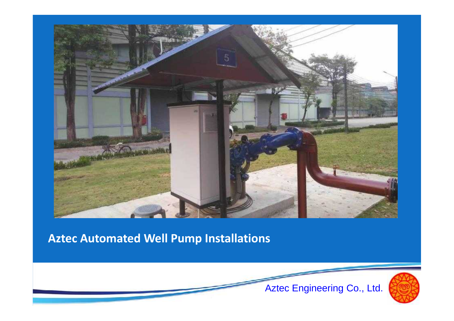

#### **Aztec Automated Well Pump Installations**

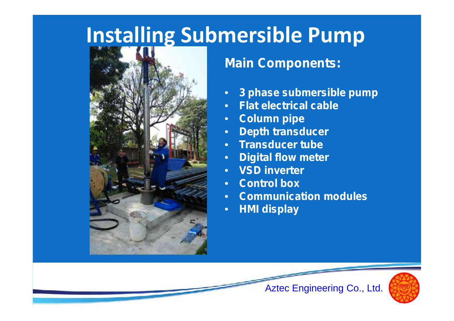### **Installing Submersible Pump**



#### **Main Components:**

- **3 phase submersible pump**
- **Flat electrical cable**
- **Column pipe**
- **Depth transducer**
- **Transducer tube**
- **Digital flow meter**
- **VSD inverter**
- **Control box**
- **Communication modules**

Aztec Engineering Co., Ltd.

• **HMI display**

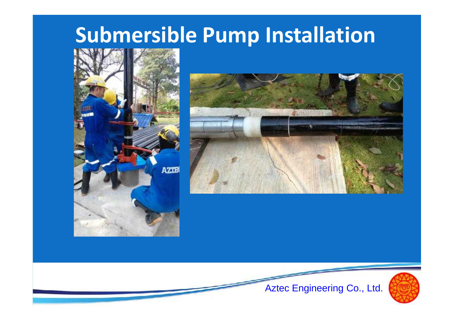### **Submersible Pump Installation**







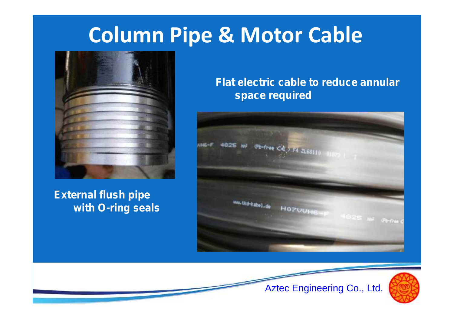## **Column Pipe & Motor Cable**



**External flush pipe with O-ring seals** **Flat electric cable to reduce annular space required**





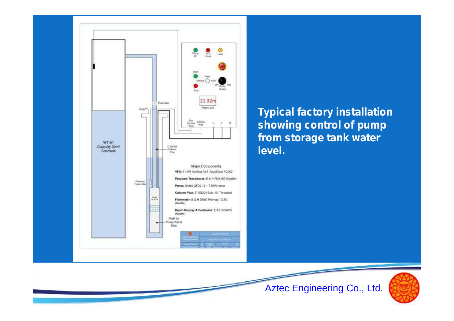

**Typical factory installation showing control of pump from storage tank water level.**

Aztec Engineering Co., Ltd.

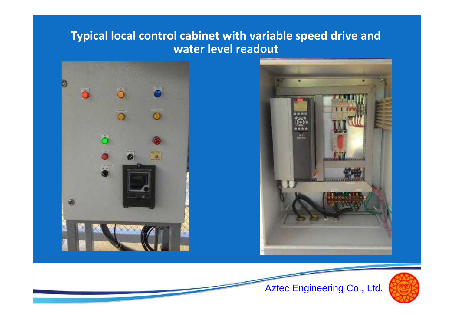#### **Typical local control cabinet with variable speed drive and water level readout**





Aztec Engineering Co., Ltd.

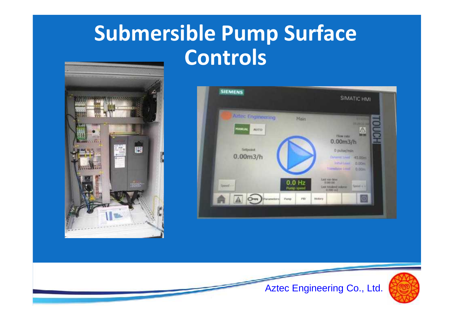# **Submersible Pump Surface Controls**







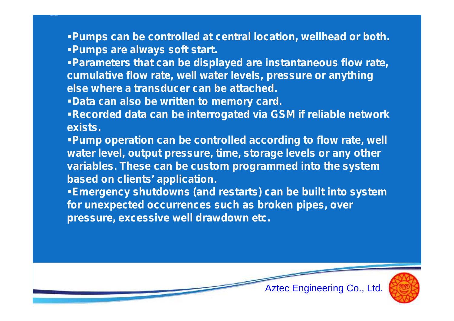**Pumps can be controlled at central location, wellhead or both. Pumps are always soft start.**

**Parameters that can be displayed are instantaneous flow rate, cumulative flow rate, well water levels, pressure or anything else where a transducer can be attached.**

**Data can also be written to memory card.**

**Recorded data can be interrogated via GSM if reliable network exists.**

**Pump operation can be controlled according to flow rate, well water level, output pressure, time, storage levels or any other variables. These can be custom programmed into the system based on clients' application.**

**Emergency shutdowns (and restarts) can be built into system for unexpected occurrences such as broken pipes, over pressure, excessive well drawdown etc.**

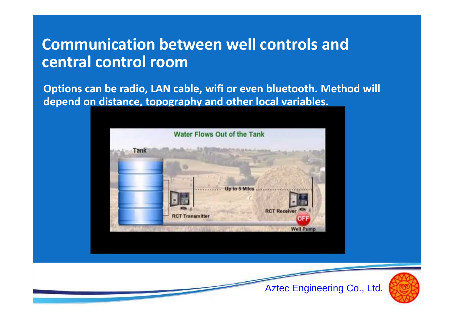#### **Communication between well controls and central control room**

**Options can be radio, LAN cable, wifi or even bluetooth. Method will depend on distance, topography and other local variables.**



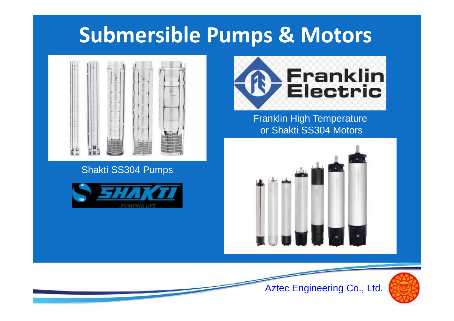### **Submersible Pumps & Motors**



#### Shakti SS304 Pumps





Franklin High Temperature or Shakti SS304 Motors





Aztec Engineering Co., Ltd.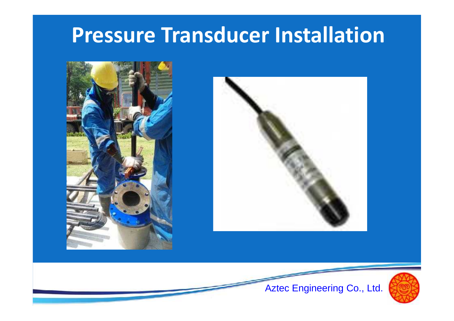# **Pressure Transducer Installation**